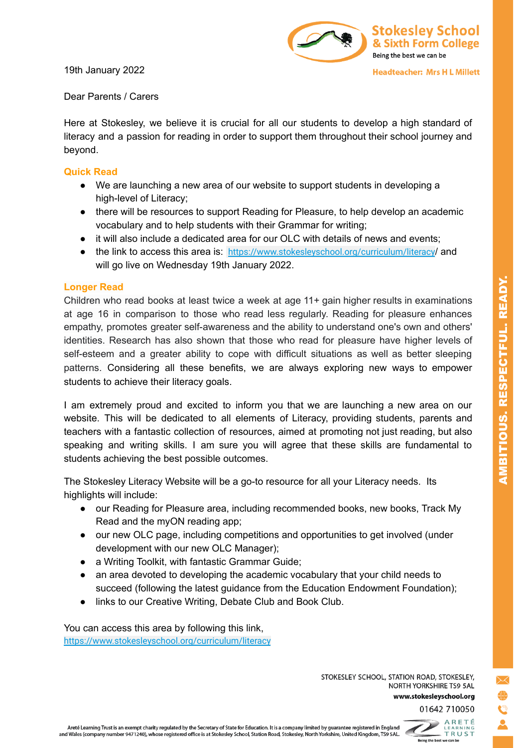19th January 2022



Dear Parents / Carers

Here at Stokesley, we believe it is crucial for all our students to develop a high standard of literacy and a passion for reading in order to support them throughout their school journey and beyond.

## **Quick Read**

- We are launching a new area of our website to support students in developing a high-level of Literacy;
- there will be resources to support Reading for Pleasure, to help develop an academic vocabulary and to help students with their Grammar for writing;
- it will also include a dedicated area for our OLC with details of news and events;
- the link to access this area is: [https://www.stokesleyschool.org/curriculum/literacy](https://www.stokesleyschool.org/?page_id=8462&preview=true)/ and will go live on Wednesday 19th January 2022.

## **Longer Read**

Children who read books at least twice a week at age 11+ gain higher results in examinations at age 16 in comparison to those who read less regularly. Reading for pleasure enhances empathy, promotes greater self-awareness and the ability to understand one's own and others' identities. Research has also shown that those who read for pleasure have higher levels of self-esteem and a greater ability to cope with difficult situations as well as better sleeping patterns. Considering all these benefits, we are always exploring new ways to empower students to achieve their literacy goals.

I am extremely proud and excited to inform you that we are launching a new area on our website. This will be dedicated to all elements of Literacy, providing students, parents and teachers with a fantastic collection of resources, aimed at promoting not just reading, but also speaking and writing skills. I am sure you will agree that these skills are fundamental to students achieving the best possible outcomes.

The Stokesley Literacy Website will be a go-to resource for all your Literacy needs. Its highlights will include:

- our Reading for Pleasure area, including recommended books, new books, Track My Read and the myON reading app;
- our new OLC page, including competitions and opportunities to get involved (under development with our new OLC Manager);
- a Writing Toolkit, with fantastic Grammar Guide:
- an area devoted to developing the academic vocabulary that your child needs to succeed (following the latest guidance from the Education Endowment Foundation);
- links to our Creative Writing, Debate Club and Book Club.

You can access this area by following this link, [https://www.stokesleyschool.org/curriculum/literacy](https://www.stokesleyschool.org/?page_id=8462&preview=true)

> STOKESLEY SCHOOL, STATION ROAD, STOKESLEY, NORTH YORKSHIRE TS9 5AL www.stokesleyschool.org

01642 710050



Being the best we can be